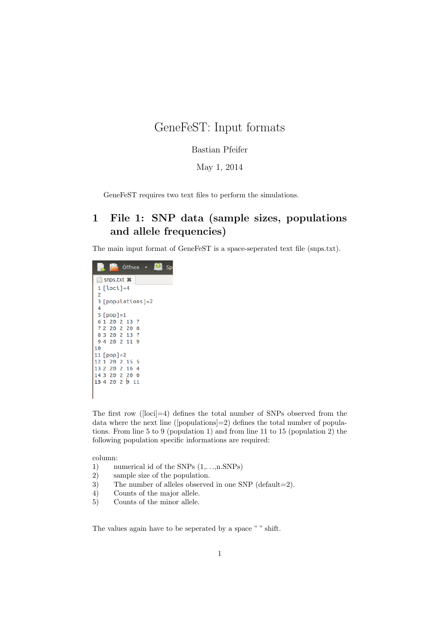## GeneFeST: Input formats

Bastian Pfeifer

May 1, 2014

GeneFeST requires two text files to perform the simulations.

## 1 File 1: SNP data (sample sizes, populations and allele frequencies)

The main input format of GeneFeST is a space-seperated text file (snps.txt).



The first row ([loci]=4) defines the total number of SNPs observed from the data where the next line ([populations]=2) defines the total number of populations. From line 5 to 9 (population 1) and from line 11 to 15 (population 2) the following population specific informations are required:

column:

- 1) numerical id of the SNPs  $(1, \ldots, n.$ SNPs)
- 2) sample size of the population.
- 3) The number of alleles observed in one SNP (default=2).
- 4) Counts of the major allele.
- 5) Counts of the minor allele.

The values again have to be seperated by a space " " shift.